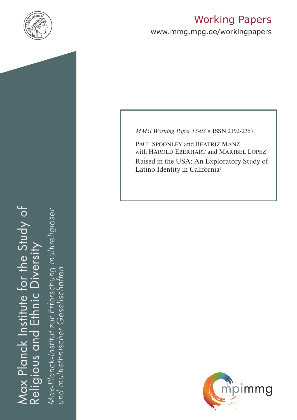

# Working Papers

www.mmg.mpg.de/workingpapers

Max Planck Institute for the Study of Religious and Ethnic Diversity ax Planck Institute for the Study of nic Diversity  $E_{\overline{1}}$ Religious and

*Max-Planck-Institut zur Erforschung multireligiöser*  Max-Planck-Institut zur Erforschung multireligiöser *und multiethnischer Gesellschaften*und multiethnischer Gesellschatten *MMG Working Paper 15-03* ● ISSN 2192-2357

PAUL SPOONLEY and BEATRIZ MANZ with HAROLD EBERHART and MARIBEL LOPEZ Raised in the USA: An Exploratory Study of Latino Identity in California<sup>1</sup>

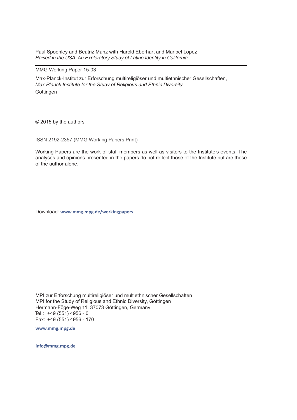Paul Spoonley and Beatriz Manz with Harold Eberhart and Maribel Lopez *Raised in the USA: An Exploratory Study of Latino Identity in California* 

#### MMG Working Paper 15-03

Max-Planck-Institut zur Erforschung multireligiöser und multiethnischer Gesellschaften, *Max Planck Institute for the Study of Religious and Ethnic Diversity* Göttingen

© 2015 by the authors

ISSN 2192-2357 (MMG Working Papers Print)

Working Papers are the work of staff members as well as visitors to the Institute's events. The analyses and opinions presented in the papers do not reflect those of the Institute but are those of the author alone.

Download: **www.mmg.mpg.de/workingpapers** 

MPI zur Erforschung multireligiöser und multiethnischer Gesellschaften MPI for the Study of Religious and Ethnic Diversity, Göttingen Hermann-Föge-Weg 11, 37073 Göttingen, Germany Tel.: +49 (551) 4956 - 0 Fax: +49 (551) 4956 - 170

**www.mmg.mpg.de**

**info@mmg.mpg.de**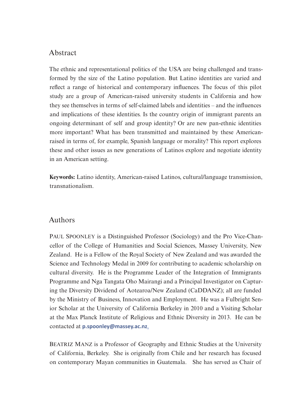## Abstract

The ethnic and representational politics of the USA are being challenged and transformed by the size of the Latino population. But Latino identities are varied and reflect a range of historical and contemporary influences. The focus of this pilot study are a group of American-raised university students in California and how they see themselves in terms of self-claimed labels and identities – and the influences and implications of these identities. Is the country origin of immigrant parents an ongoing determinant of self and group identity? Or are new pan-ethnic identities more important? What has been transmitted and maintained by these Americanraised in terms of, for example, Spanish language or morality? This report explores these and other issues as new generations of Latinos explore and negotiate identity in an American setting.

**Keywords:** Latino identity, American-raised Latinos, cultural/language transmission, transnationalism.

## Authors

PAUL SPOONLEY is a Distinguished Professor (Sociology) and the Pro Vice-Chancellor of the College of Humanities and Social Sciences, Massey University, New Zealand. He is a Fellow of the Royal Society of New Zealand and was awarded the Science and Technology Medal in 2009 for contributing to academic scholarship on cultural diversity. He is the Programme Leader of the Integration of Immigrants Programme and Nga Tangata Oho Mairangi and a Principal Investigator on Capturing the Diversity Dividend of Aotearoa/New Zealand (CaDDANZ); all are funded by the Ministry of Business, Innovation and Employment. He was a Fulbright Senior Scholar at the University of California Berkeley in 2010 and a Visiting Scholar at the Max Planck Institute of Religious and Ethnic Diversity in 2013. He can be contacted at **[p.spoonley@massey.ac.nz](mailto:p.spoonley@massey.ac.nz)**.

BEATRIZ MANZ is a Professor of Geography and Ethnic Studies at the University of California, Berkeley. She is originally from Chile and her research has focused on contemporary Mayan communities in Guatemala. She has served as Chair of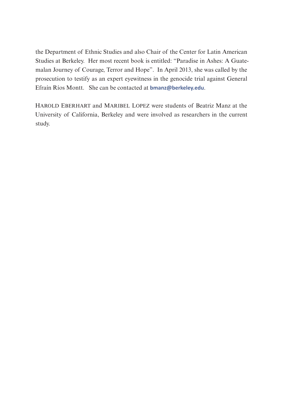the Department of Ethnic Studies and also Chair of the Center for Latin American Studies at Berkeley. Her most recent book is entitled: "Paradise in Ashes: A Guatemalan Journey of Courage, Terror and Hope". In April 2013, she was called by the prosecution to testify as an expert eyewitness in the genocide trial against General Efraín Ríos Montt. She can be contacted at **[bmanz@berkeley.edu](mailto:bmanz@berkeley.edu)**.

Harold Eberhart and Maribel Lopez were students of Beatriz Manz at the University of California, Berkeley and were involved as researchers in the current study.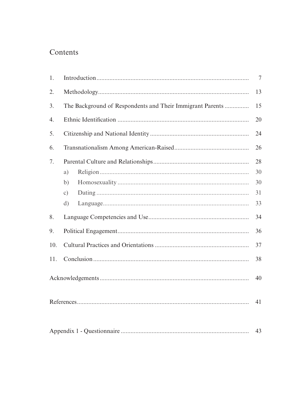## Contents

| 1.  |                                                           | 7  |
|-----|-----------------------------------------------------------|----|
| 2.  |                                                           | 13 |
| 3.  | The Background of Respondents and Their Immigrant Parents | 15 |
| 4.  |                                                           | 20 |
| 5.  |                                                           | 24 |
| 6.  |                                                           | 26 |
| 7.  |                                                           | 28 |
|     | a)                                                        | 30 |
|     | b)                                                        | 30 |
|     | $\circ$ )                                                 | 31 |
|     | $\mathrm{d}$                                              | 33 |
| 8.  |                                                           | 34 |
| 9.  |                                                           | 36 |
| 10. |                                                           | 37 |
| 11. |                                                           | 38 |
|     |                                                           | 40 |
|     |                                                           | 41 |
| 43  |                                                           |    |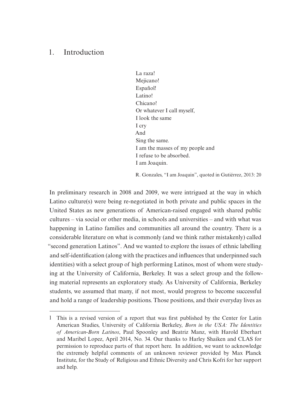## 1. Introduction

La raza! Mejicano! Español! Latino! Chicano! Or whatever I call myself, I look the same I cry And Sing the same. I am the masses of my people and I refuse to be absorbed. I am Joaquin.

R. Gonzales, "I am Joaquin", quoted in Gutiérrez, 2013: 20

In preliminary research in 2008 and 2009, we were intrigued at the way in which Latino culture(s) were being re-negotiated in both private and public spaces in the United States as new generations of American-raised engaged with shared public cultures – via social or other media, in schools and universities – and with what was happening in Latino families and communities all around the country. There is a considerable literature on what is commonly (and we think rather mistakenly) called "second generation Latinos". And we wanted to explore the issues of ethnic labelling and self-identification (along with the practices and influences that underpinned such identities) with a select group of high performing Latinos, most of whom were studying at the University of California, Berkeley. It was a select group and the following material represents an exploratory study. As University of California, Berkeley students, we assumed that many, if not most, would progress to become successful and hold a range of leadership positions. Those positions, and their everyday lives as

<sup>1</sup> This is a revised version of a report that was first published by the Center for Latin American Studies, University of California Berkeley, *Born in the USA: The Identities of American-Born Latinos*, Paul Spoonley and Beatriz Manz, with Harold Eberhart and Maribel Lopez, April 2014, No. 34. Our thanks to Harley Shaiken and CLAS for permission to reproduce parts of that report here. In addition, we want to acknowledge the extremely helpful comments of an unknown reviewer provided by Max Planck Institute, for the Study of Religious and Ethnic Diversity and Chris Kofri for her support and help.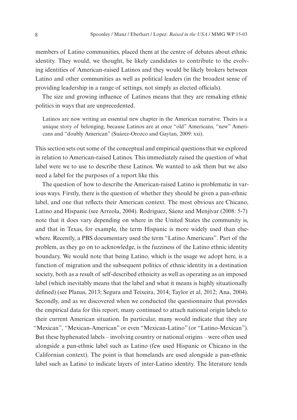members of Latino communities, placed them at the centre of debates about ethnic identity. They would, we thought, be likely candidates to contribute to the evolving identities of American-raised Latinos and they would be likely brokers between Latino and other communities as well as political leaders (in the broadest sense of providing leadership in a range of settings, not simply as elected officials).

The size and growing influence of Latinos means that they are remaking ethnic politics in ways that are unprecedented.

Latinos are now writing an essential new chapter in the American narrative. Theirs is a unique story of belonging, because Latinos are at once "old" Americans, "new" Americans and "doubly American" (Suárez-Orozco and Gaytan, 2009: xxi).

This section sets out some of the conceptual and empirical questions that we explored in relation to American-raised Latinos. This immediately raised the question of what label were we to use to describe these Latinos. We wanted to ask them but we also need a label for the purposes of a report like this.

The question of how to describe the American-raised Latino is problematic in various ways. Firstly, there is the question of whether they should be given a pan-ethnic label, and one that reflects their American context. The most obvious are Chicano, Latino and Hispanic (see Arreola, 2004). Rodriguez, Sáenz and Menjívar (2008: 5-7) note that it does vary depending on where in the United States the community is, and that in Texas, for example, the term Hispanic is more widely used than elsewhere. Recently, a PBS documentary used the term "Latino Americans". Part of the problem, as they go on to acknowledge, is the fuzziness of the Latino ethnic identity boundary. We would note that being Latino, which is the usage we adopt here, is a function of migration and the subsequent politics of ethnic identity in a destination society, both as a result of self-described ethnicity as well as operating as an imposed label (which inevitably means that the label and what it means is highly situationally defined) (see Planas, 2013; Segura and Teixeira, 2014; Taylor et al, 2012; Ana, 2004). Secondly, and as we discovered when we conducted the questionnaire that provides the empirical data for this report, many continued to attach national origin labels to their current American situation. In particular, many would indicate that they are "Mexican", "Mexican-American" or even "Mexican-Latino" (or "Latino-Mexican"). But these hyphenated labels – involving country or national origins – were often used alongside a pan-ethnic label such as Latino (few used Hispanic or Chicano in the Californian context). The point is that homelands are used alongside a pan-ethnic label such as Latino to indicate layers of inter-Latino identity. The literature tends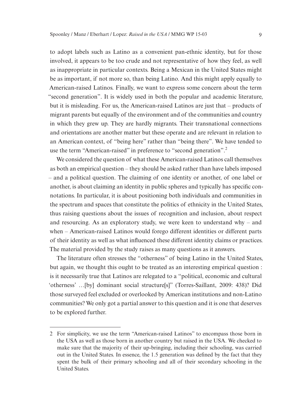to adopt labels such as Latino as a convenient pan-ethnic identity, but for those involved, it appears to be too crude and not representative of how they feel, as well as inappropriate in particular contexts. Being a Mexican in the United States might be as important, if not more so, than being Latino. And this might apply equally to American-raised Latinos. Finally, we want to express some concern about the term "second generation". It is widely used in both the popular and academic literature, but it is misleading. For us, the American-raised Latinos are just that – products of migrant parents but equally of the environment and of the communities and country in which they grew up. They are hardly migrants. Their transnational connections and orientations are another matter but these operate and are relevant in relation to an American context, of "being here" rather than "being there". We have tended to use the term "American-raised" in preference to "second generation".2

We considered the question of what these American-raised Latinos call themselves as both an empirical question – they should be asked rather than have labels imposed – and a political question. The claiming of one identity or another, of one label or another, is about claiming an identity in public spheres and typically has specific connotations. In particular, it is about positioning both individuals and communities in the spectrum and spaces that constitute the politics of ethnicity in the United States, thus raising questions about the issues of recognition and inclusion, about respect and resourcing. As an exploratory study, we were keen to understand why – and when – American-raised Latinos would forego different identities or different parts of their identity as well as what influenced these different identity claims or practices. The material provided by the study raises as many questions as it answers.

The literature often stresses the "otherness" of being Latino in the United States, but again, we thought this ought to be treated as an interesting empirical question : is it necessarily true that Latinos are relegated to a "political, economic and cultural 'otherness' …[by] dominant social structure[s]" (Torres-Saillant, 2009: 438)? Did those surveyed feel excluded or overlooked by American institutions and non-Latino communities? We only got a partial answer to this question and it is one that deserves to be explored further.

<sup>2</sup> For simplicity, we use the term "American-raised Latinos" to encompass those born in the USA as well as those born in another country but raised in the USA. We checked to make sure that the majority of their up-bringing, including their schooling, was carried out in the United States. In essence, the 1.5 generation was defined by the fact that they spent the bulk of their primary schooling and all of their secondary schooling in the United States.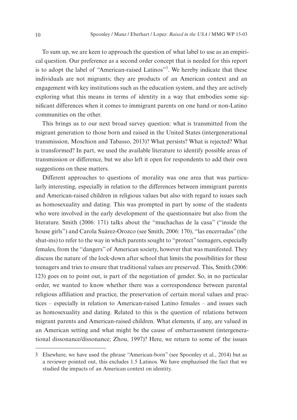To sum up, we are keen to approach the question of what label to use as an empirical question. Our preference as a second order concept that is needed for this report is to adopt the label of "American-raised Latinos"<sup>3</sup>. We hereby indicate that these individuals are not migrants; they are products of an American context and an engagement with key institutions such as the education system, and they are actively exploring what this means in terms of identity in a way that embodies some significant differences when it comes to immigrant parents on one hand or non-Latino communities on the other.

This brings us to our next broad survey question: what is transmitted from the migrant generation to those born and raised in the United States (intergenerational transmission, Moschion and Tabasso, 2013)? What persists? What is rejected? What is transformed? In part, we used the available literature to identify possible areas of transmission or difference, but we also left it open for respondents to add their own suggestions on these matters.

Different approaches to questions of morality was one area that was particularly interesting, especially in relation to the differences between immigrant parents and American-raised children in religious values but also with regard to issues such as homosexuality and dating. This was prompted in part by some of the students who were involved in the early development of the questionnaire but also from the literature. Smith (2006: 171) talks about the "muchachas de la casa" ("inside the house girls") and Carola Suárez-Orozco (see Smith, 2006: 170), "las encerradas" (the shut-ins) to refer to the way in which parents sought to "protect" teenagers, especially females, from the "dangers" of American society, however that was manifested. They discuss the nature of the lock-down after school that limits the possibilities for these teenagers and tries to ensure that traditional values are preserved. This, Smith (2006: 123) goes on to point out, is part of the negotiation of gender. So, in no particular order, we wanted to know whether there was a correspondence between parental religious affiliation and practice, the preservation of certain moral values and practices – especially in relation to American-raised Latino females – and issues such as homosexuality and dating. Related to this is the question of relations between migrant parents and American-raised children. What elements, if any, are valued in an American setting and what might be the cause of embarrassment (intergenerational dissonance/dissonance; Zhou, 1997)? Here, we return to some of the issues

<sup>3</sup> Elsewhere, we have used the phrase "American-born" (see Spoonley et al., 2014) but as a reviewer pointed out, this excludes 1.5 Latinos. We have emphazised the fact that we studied the impacts of an American context on identity.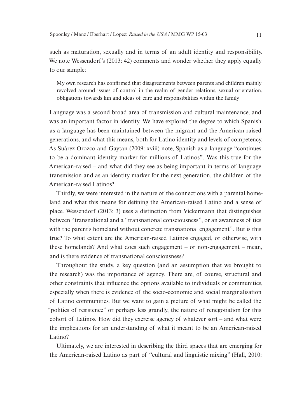such as maturation, sexually and in terms of an adult identity and responsibility. We note Wessendorf's (2013: 42) comments and wonder whether they apply equally to our sample:

My own research has confirmed that disagreements between parents and children mainly revolved around issues of control in the realm of gender relations, sexual orientation, obligations towards kin and ideas of care and responsibilities within the family

Language was a second broad area of transmission and cultural maintenance, and was an important factor in identity. We have explored the degree to which Spanish as a language has been maintained between the migrant and the American-raised generations, and what this means, both for Latino identity and levels of competency. As Suárez-Orozco and Gaytan (2009: xviii) note, Spanish as a language "continues to be a dominant identity marker for millions of Latinos". Was this true for the American-raised – and what did they see as being important in terms of language transmission and as an identity marker for the next generation, the children of the American-raised Latinos?

Thirdly, we were interested in the nature of the connections with a parental homeland and what this means for defining the American-raised Latino and a sense of place. Wessendorf (2013: 3) uses a distinction from Vickermann that distinguishes between "transnational and a "transnational consciousness", or an awareness of ties with the parent's homeland without concrete transnational engagement". But is this true? To what extent are the American-raised Latinos engaged, or otherwise, with these homelands? And what does such engagement – or non-engagement – mean, and is there evidence of transnational consciousness?

Throughout the study, a key question (and an assumption that we brought to the research) was the importance of agency. There are, of course, structural and other constraints that influence the options available to individuals or communities, especially when there is evidence of the socio-economic and social marginalisation of Latino communities. But we want to gain a picture of what might be called the "politics of resistence" or perhaps less grandly, the nature of renegotiation for this cohort of Latinos. How did they exercise agency of whatever sort – and what were the implications for an understanding of what it meant to be an American-raised Latino?

Ultimately, we are interested in describing the third spaces that are emerging for the American-raised Latino as part of "cultural and linguistic mixing" (Hall, 2010: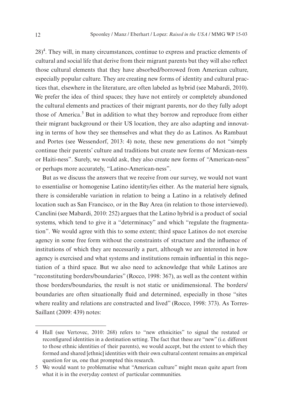28)<sup>4</sup>. They will, in many circumstances, continue to express and practice elements of cultural and social life that derive from their migrant parents but they will also reflect those cultural elements that they have absorbed/borrowed from American culture, especially popular culture. They are creating new forms of identity and cultural practices that, elsewhere in the literature, are often labeled as hybrid (see Mabardi, 2010). We prefer the idea of third spaces; they have not entirely or completely abandoned the cultural elements and practices of their migrant parents, nor do they fully adopt those of America.<sup>5</sup> But in addition to what they borrow and reproduce from either their migrant background or their US location, they are also adapting and innovating in terms of how they see themselves and what they do as Latinos. As Rambaut and Portes (see Wessendorf, 2013: 4) note, these new generations do not "simply continue their parents' culture and traditions but create new forms of Mexican-ness or Haiti-ness". Surely, we would ask, they also create new forms of "American-ness" or perhaps more accurately, "Latino-American-ness".

But as we discuss the answers that we receive from our survey, we would not want to essentialise or homogenise Latino identity/ies either. As the material here signals, there is considerable variation in relation to being a Latino in a relatively defined location such as San Francisco, or in the Bay Area (in relation to those interviewed). Canclini (see Mabardi, 2010: 252) argues that the Latino hybrid is a product of social systems, which tend to give it a "determinacy" and which "regulate the fragmentation". We would agree with this to some extent; third space Latinos do not exercise agency in some free form without the constraints of structure and the influence of institutions of which they are necessarily a part, although we are interested in how agency is exercised and what systems and institutions remain influential in this negotiation of a third space. But we also need to acknowledge that while Latinos are "reconstituting borders/boundaries" (Rocco, 1998: 367), as well as the content within those borders/boundaries, the result is not static or unidimensional. The borders/ boundaries are often situationally fluid and determined, especially in those "sites where reality and relations are constructed and lived" (Rocco, 1998: 373). As Torres-Saillant (2009: 439) notes:

<sup>4</sup> Hall (see Vertovec, 2010: 268) refers to "new ethnicities" to signal the restated or reconfigured identities in a destination setting. The fact that these are "new" (i.e. different to those ethnic identities of their parents), we would accept, but the extent to which they formed and shared [ethnic] identities with their own cultural content remains an empirical question for us, one that prompted this research.

<sup>5</sup> We would want to problematise what "American culture" might mean quite apart from what it is in the everyday context of particular communities.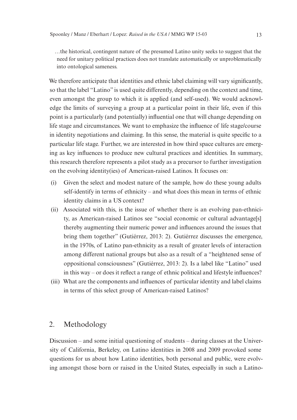…the historical, contingent nature of the presumed Latino unity seeks to suggest that the need for unitary political practices does not translate automatically or unproblematically into ontological sameness.

We therefore anticipate that identities and ethnic label claiming will vary significantly, so that the label "Latino" is used quite differently, depending on the context and time, even amongst the group to which it is applied (and self-used). We would acknowledge the limits of surveying a group at a particular point in their life, even if this point is a particularly (and potentially) influential one that will change depending on life stage and circumstances. We want to emphasize the influence of life stage/course in identity negotiations and claiming. In this sense, the material is quite specific to a particular life stage. Further, we are interested in how third space cultures are emerging as key influences to produce new cultural practices and identities. In summary, this research therefore represents a pilot study as a precursor to further investigation on the evolving identity(ies) of American-raised Latinos. It focuses on:

- (i) Given the select and modest nature of the sample, how do these young adults self-identify in terms of ethnicity – and what does this mean in terms of ethnic identity claims in a US context?
- (ii) Associated with this, is the issue of whether there is an evolving pan-ethnicity, as American-raised Latinos see "social economic or cultural advantage[s] thereby augmenting their numeric power and influences around the issues that bring them together" (Gutiérrez, 2013: 2). Gutiérrez discusses the emergence, in the 1970s, of Latino pan-ethnicity as a result of greater levels of interaction among different national groups but also as a result of a "heightened sense of oppositional consciousness" (Gutiérrez, 2013: 2). Is a label like "Latino" used in this way – or does it reflect a range of ethnic political and lifestyle influences?
- (iii) What are the components and influences of particular identity and label claims in terms of this select group of American-raised Latinos?

## 2. Methodology

Discussion – and some initial questioning of students – during classes at the University of California, Berkeley, on Latino identities in 2008 and 2009 provoked some questions for us about how Latino identities, both personal and public, were evolving amongst those born or raised in the United States, especially in such a Latino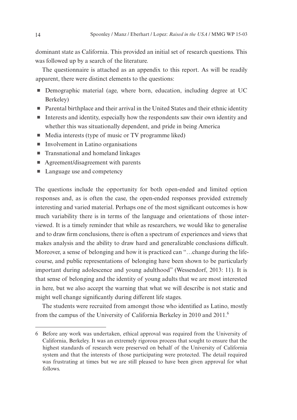dominant state as California. This provided an initial set of research questions. This was followed up by a search of the literature.

The questionnaire is attached as an appendix to this report. As will be readily apparent, there were distinct elements to the questions:

- $\blacksquare$  Demographic material (age, where born, education, including degree at UC Berkeley)
- $\blacksquare$  Parental birthplace and their arrival in the United States and their ethnic identity
- $\blacksquare$  Interests and identity, especially how the respondents saw their own identity and whether this was situationally dependent, and pride in being America
- $\blacksquare$  Media interests (type of music or TV programme liked)
- $\blacksquare$  Involvement in Latino organisations
- $\blacksquare$  Transnational and homeland linkages
- $\blacksquare$  Agreement/disagreement with parents
- Language use and competency

The questions include the opportunity for both open-ended and limited option responses and, as is often the case, the open-ended responses provided extremely interesting and varied material. Perhaps one of the most significant outcomes is how much variability there is in terms of the language and orientations of those interviewed. It is a timely reminder that while as researchers, we would like to generalise and to draw firm conclusions, there is often a spectrum of experiences and views that makes analysis and the ability to draw hard and generalizable conclusions difficult. Moreover, a sense of belonging and how it is practiced can "…change during the lifecourse, and public representations of belonging have been shown to be particularly important during adolescence and young adulthood" (Wessendorf, 2013: 11). It is that sense of belonging and the identity of young adults that we are most interested in here, but we also accept the warning that what we will describe is not static and might well change significantly during different life stages.

The students were recruited from amongst those who identified as Latino, mostly from the campus of the University of California Berkeley in 2010 and 2011.6

<sup>6</sup> Before any work was undertaken, ethical approval was required from the University of California, Berkeley. It was an extremely rigorous process that sought to ensure that the highest standards of research were preserved on behalf of the University of California system and that the interests of those participating were protected. The detail required was frustrating at times but we are still pleased to have been given approval for what follows.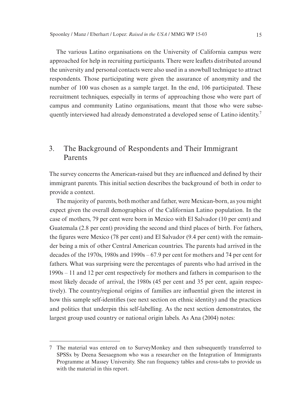The various Latino organisations on the University of California campus were approached for help in recruiting participants. There were leaflets distributed around the university and personal contacts were also used in a snowball technique to attract respondents. Those participating were given the assurance of anonymity and the number of 100 was chosen as a sample target. In the end, 106 participated. These recruitment techniques, especially in terms of approaching those who were part of campus and community Latino organisations, meant that those who were subsequently interviewed had already demonstrated a developed sense of Latino identity.<sup>7</sup>

## 3. The Background of Respondents and Their Immigrant Parents

The survey concerns the American-raised but they are influenced and defined by their immigrant parents. This initial section describes the background of both in order to provide a context.

The majority of parents, both mother and father, were Mexican-born, as you might expect given the overall demographics of the Californian Latino population. In the case of mothers, 79 per cent were born in Mexico with El Salvador (10 per cent) and Guatemala (2.8 per cent) providing the second and third places of birth. For fathers, the figures were Mexico (78 per cent) and El Salvador (9.4 per cent) with the remainder being a mix of other Central American countries. The parents had arrived in the decades of the 1970s, 1980s and 1990s – 67.9 per cent for mothers and 74 per cent for fathers. What was surprising were the percentages of parents who had arrived in the 1990s – 11 and 12 per cent respectively for mothers and fathers in comparison to the most likely decade of arrival, the 1980s (45 per cent and 35 per cent, again respectively). The country/regional origins of families are influential given the interest in how this sample self-identifies (see next section on ethnic identity) and the practices and politics that underpin this self-labelling. As the next section demonstrates, the largest group used country or national origin labels. As Ana (2004) notes:

<sup>7</sup> The material was entered on to SurveyMonkey and then subsequently transferred to SPSSx by Deena Seesaegnom who was a researcher on the Integration of Immigrants Programme at Massey University. She ran frequency tables and cross-tabs to provide us with the material in this report.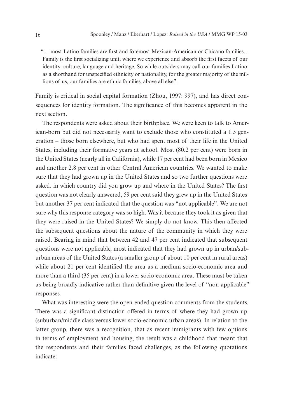"… most Latino families are first and foremost Mexican-American or Chicano families… Family is the first socializing unit, where we experience and absorb the first facets of our identity: culture, language and heritage. So while outsiders may call our families Latino as a shorthand for unspecified ethnicity or nationality, for the greater majority of the millions of us, our families are ethnic families, above all else".

Family is critical in social capital formation (Zhou, 1997: 997), and has direct consequences for identity formation. The significance of this becomes apparent in the next section.

The respondents were asked about their birthplace. We were keen to talk to American-born but did not necessarily want to exclude those who constituted a 1.5 generation – those born elsewhere, but who had spent most of their life in the United States, including their formative years at school. Most (80.2 per cent) were born in the United States (nearly all in California), while 17 per cent had been born in Mexico and another 2.8 per cent in other Central American countries. We wanted to make sure that they had grown up in the United States and so two further questions were asked: in which country did you grow up and where in the United States? The first question was not clearly answered; 59 per cent said they grew up in the United States but another 37 per cent indicated that the question was "not applicable". We are not sure why this response category was so high. Was it because they took it as given that they were raised in the United States? We simply do not know. This then affected the subsequent questions about the nature of the community in which they were raised. Bearing in mind that between 42 and 47 per cent indicated that subsequent questions were not applicable, most indicated that they had grown up in urban/suburban areas of the United States (a smaller group of about 10 per cent in rural areas) while about 21 per cent identified the area as a medium socio-economic area and more than a third (35 per cent) in a lower socio-economic area. These must be taken as being broadly indicative rather than definitive given the level of "non-applicable" responses.

What was interesting were the open-ended question comments from the students. There was a significant distinction offered in terms of where they had grown up (suburban/middle class versus lower socio-economic urban areas). In relation to the latter group, there was a recognition, that as recent immigrants with few options in terms of employment and housing, the result was a childhood that meant that the respondents and their families faced challenges, as the following quotations indicate: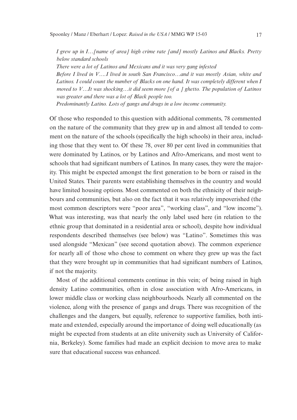*I grew up in I…[name of area] high crime rate [and] mostly Latinos and Blacks. Pretty below standard schools*

*There were a lot of Latinos and Mexicans and it was very gang infested Before I lived in V….I lived in south San Francisco…and it was mostly Asian, white and*  Latinos. I could count the number of Blacks on one hand. It was completely different when I *moved to V…It was shocking…it did seem more [of a ] ghetto. The population of Latinos was greater and there was a lot of Black people too.*

*Predominantly Latino. Lots of gangs and drugs in a low income community.*

Of those who responded to this question with additional comments, 78 commented on the nature of the community that they grew up in and almost all tended to comment on the nature of the schools (specifically the high schools) in their area, including those that they went to. Of these 78, over 80 per cent lived in communities that were dominated by Latinos, or by Latinos and Afro-Americans, and most went to schools that had significant numbers of Latinos. In many cases, they were the majority. This might be expected amongst the first generation to be born or raised in the United States. Their parents were establishing themselves in the country and would have limited housing options. Most commented on both the ethnicity of their neighbours and communities, but also on the fact that it was relatively impoverished (the most common descriptors were "poor area", "working class", and "low income"). What was interesting, was that nearly the only label used here (in relation to the ethnic group that dominated in a residential area or school), despite how individual respondents described themselves (see below) was "Latino". Sometimes this was used alongside "Mexican" (see second quotation above). The common experience for nearly all of those who chose to comment on where they grew up was the fact that they were brought up in communities that had significant numbers of Latinos, if not the majority.

Most of the additional comments continue in this vein; of being raised in high density Latino communities, often in close association with Afro-Americans, in lower middle class or working class neighbourhoods. Nearly all commented on the violence, along with the presence of gangs and drugs. There was recognition of the challenges and the dangers, but equally, reference to supportive families, both intimate and extended, especially around the importance of doing well educationally (as might be expected from students at an elite university such as University of California, Berkeley). Some families had made an explicit decision to move area to make sure that educational success was enhanced.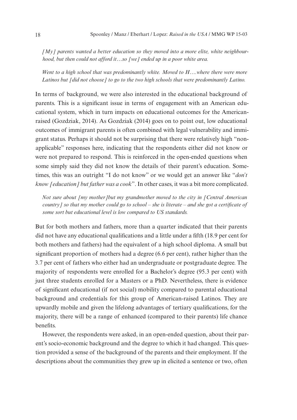*[My] parents wanted a better education so they moved into a more elite, white neighbourhood, but then could not afford it…so [we] ended up in a poor white area.*

*Went to a high school that was predominantly white. Moved to H….where there were more Latinos but [did not choose] to go to the two high schools that were predominantly Latino.*

In terms of background, we were also interested in the educational background of parents. This is a significant issue in terms of engagement with an American educational system, which in turn impacts on educational outcomes for the Americanraised (Gozdziak, 2014). As Gozdziak (2014) goes on to point out, low educational outcomes of immigrant parents is often combined with legal vulnerability and immigrant status. Perhaps it should not be surprising that there were relatively high "nonapplicable" responses here, indicating that the respondents either did not know or were not prepared to respond. This is reinforced in the open-ended questions when some simply said they did not know the details of their parent's education. Sometimes, this was an outright "I do not know" or we would get an answer like "*don't know [education] but father was a cook*". In other cases, it was a bit more complicated.

*Not sure about [my mother]but my grandmother moved to the city in [Central American country] so that my mother could go to school – she is literate – and she got a certificate of some sort but educational level is low compared to US standards.*

But for both mothers and fathers, more than a quarter indicated that their parents did not have any educational qualifications and a little under a fifth (18.9 per cent for both mothers and fathers) had the equivalent of a high school diploma. A small but significant proportion of mothers had a degree (6.6 per cent), rather higher than the 3.7 per cent of fathers who either had an undergraduate or postgraduate degree. The majority of respondents were enrolled for a Bachelor's degree (95.3 per cent) with just three students enrolled for a Masters or a PhD. Nevertheless, there is evidence of significant educational (if not social) mobility compared to parental educational background and credentials for this group of American-raised Latinos. They are upwardly mobile and given the lifelong advantages of tertiary qualifications, for the majority, there will be a range of enhanced (compared to their parents) life chance benefits.

However, the respondents were asked, in an open-ended question, about their parent's socio-economic background and the degree to which it had changed. This question provided a sense of the background of the parents and their employment. If the descriptions about the communities they grew up in elicited a sentence or two, often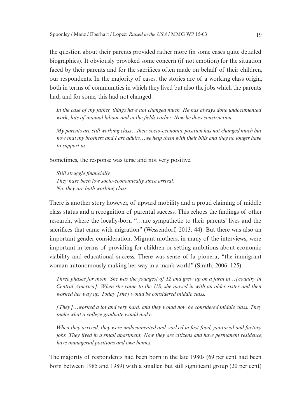the question about their parents provided rather more (in some cases quite detailed biographies). It obviously provoked some concern (if not emotion) for the situation faced by their parents and for the sacrifices often made on behalf of their children, our respondents. In the majority of cases, the stories are of a working class origin, both in terms of communities in which they lived but also the jobs which the parents had, and for some, this had not changed.

*In the case of my father, things have not changed much. He has always done undocumented work, lots of manual labour and in the fields earlier. Now he does construction.*

*My parents are still working class…their socio-economic position has not changed much but now that my brothers and I are adults…we help them with their bills and they no longer have to support us.* 

Sometimes, the response was terse and not very positive.

*Still struggle financially They have been low socio-economically since arrival. No, they are both working class.*

There is another story however, of upward mobility and a proud claiming of middle class status and a recognition of parental success. This echoes the findings of other research, where the locally-born "…are sympathetic to their parents' lives and the sacrifices that came with migration" (Wessendorf, 2013: 44). But there was also an important gender consideration. Migrant mothers, in many of the interviews, were important in terms of providing for children or setting ambitions about economic viability and educational success. There was sense of la pionera, "the immigrant woman autonomously making her way in a man's world" (Smith, 2006: 125).

*Three phases for mom. She was the youngest of 12 and grew up on a farm in…[country in Central America]. When she came to the US, she moved in with an older sister and then worked her way up. Today [she] would be considered middle class.*

*[They]…worked a lot and very hard, and they would now be considered middle class. They make what a college graduate would make.* 

*When they arrived, they were undocumented and worked in fast food, janitorial and factory jobs. They lived in a small apartment. Now they are citizens and have permanent residence, have managerial positions and own homes.*

The majority of respondents had been born in the late 1980s (69 per cent had been born between 1985 and 1989) with a smaller, but still significant group (20 per cent)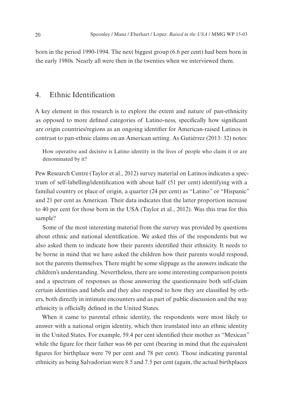born in the period 1990-1994. The next biggest group (6.6 per cent) had been born in the early 1980s. Nearly all were then in the twenties when we interviewed them.

## 4. Ethnic Identification

A key element in this research is to explore the extent and nature of pan-ethnicity as opposed to more defined categories of Latino-ness, specifically how significant are origin countries/regions as an ongoing identifier for American-raised Latinos in contrast to pan-ethnic claims on an American setting. As Gutiérrez (2013: 32) notes:

How operative and decisive is Latino identity in the lives of people who claim it or are denominated by it?

Pew Research Centre (Taylor et al., 2012) survey material on Latinos indicates a spectrum of self-labelling/identification with about half (51 per cent) identifying with a familial country or place of origin, a quarter (24 per cent) as "Latino" or "Hispanic" and 21 per cent as American. Their data indicates that the latter proportion increase to 40 per cent for those born in the USA (Taylor et al., 2012). Was this true for this sample?

Some of the most interesting material from the survey was provided by questions about ethnic and national identification. We asked this of the respondents but we also asked them to indicate how their parents identified their ethnicity. It needs to be borne in mind that we have asked the children how their parents would respond, not the parents themselves. There might be some slippage as the answers indicate the children's understanding. Nevertheless, there are some interesting comparison points and a spectrum of responses as those answering the questionnaire both self-claim certain identities and labels and they also respond to how they are classified by others, both directly in intimate encounters and as part of public discussion and the way ethnicity is officially defined in the United States.

When it came to parental ethnic identity, the respondents were most likely to answer with a national origin identity, which then translated into an ethnic identity in the United States. For example, 59.4 per cent identified their mother as "Mexican" while the figure for their father was 66 per cent (bearing in mind that the equivalent figures for birthplace were 79 per cent and 78 per cent). Those indicating parental ethnicity as being Salvadorian were 8.5 and 7.5 per cent (again, the actual birthplaces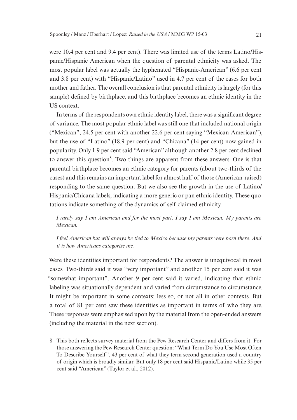were 10.4 per cent and 9.4 per cent). There was limited use of the terms Latino/Hispanic/Hispanic American when the question of parental ethnicity was asked. The most popular label was actually the hyphenated "Hispanic-American" (6.6 per cent and 3.8 per cent) with "Hispanic/Latino" used in 4.7 per cent of the cases for both mother and father. The overall conclusion is that parental ethnicity is largely (for this sample) defined by birthplace, and this birthplace becomes an ethnic identity in the US context.

In terms of the respondents own ethnic identity label, there was a significant degree of variance. The most popular ethnic label was still one that included national origin ("Mexican", 24.5 per cent with another 22.6 per cent saying "Mexican-American"), but the use of "Latino" (18.9 per cent) and "Chicana" (14 per cent) now gained in popularity. Only 1.9 per cent said "American" although another 2.8 per cent declined to answer this question<sup>8</sup>. Two things are apparent from these answers. One is that parental birthplace becomes an ethnic category for parents (about two-thirds of the cases) and this remains an important label for almost half of those (American-raised) responding to the same question. But we also see the growth in the use of Latino/ Hispanic/Chicana labels, indicating a more generic or pan ethnic identity. These quotations indicate something of the dynamics of self-claimed ethnicity.

*I rarely say I am American and for the most part, I say I am Mexican. My parents are Mexican.*

*I feel American but will always be tied to Mexico because my parents were born there. And it is how Americans categorise me.*

Were these identities important for respondents? The answer is unequivocal in most cases. Two-thirds said it was "very important" and another 15 per cent said it was "somewhat important". Another 9 per cent said it varied, indicating that ethnic labeling was situationally dependent and varied from circumstance to circumstance. It might be important in some contexts; less so, or not all in other contexts. But a total of 81 per cent saw these identities as important in terms of who they are. These responses were emphasised upon by the material from the open-ended answers (including the material in the next section).

<sup>8</sup> This both reflects survey material from the Pew Research Center and differs from it. For those answering the Pew Research Center question: "What Term Do You Use Most Often To Describe Yourself", 43 per cent of what they term second generation used a country of origin which is broadly similar. But only 18 per cent said Hispanic/Latino while 35 per cent said "American" (Taylor et al., 2012).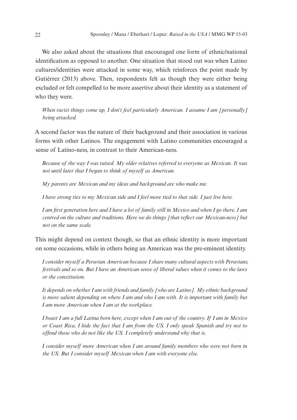We also asked about the situations that encouraged one form of ethnic/national identification as opposed to another. One situation that stood out was when Latino cultures/identities were attacked in some way, which reinforces the point made by Gutiérrez (2013) above. Then, respondents felt as though they were either being excluded or felt compelled to be more assertive about their identity as a statement of who they were.

*When racist things come up, I don't feel particularly American. I assume I am [personally] being attacked.*

A second factor was the nature of their background and their association in various forms with other Latinos. The engagement with Latino communities encouraged a sense of Latino-ness, in contrast to their American-ness.

*Because of the way I was raised. My older relatives referred to everyone as Mexican. It was not until later that I began to think of myself as American.*

*My parents are Mexican and my ideas and background are who make me.* 

*I have strong ties to my Mexican side and I feel more tied to that side. I just live here.*

*I am first generation here and I have a lot of family still in Mexico and when I go there, I am centred on the culture and traditions. Here we do things [that reflect our Mexican-ness] but not on the same scale.* 

This might depend on context though, so that an ethnic identity is more important on some occasions, while in others being an American was the pre-eminent identity.

*I consider myself a Peruvian American because I share many cultural aspects with Peruvians, festivals and so on. But I have an American sense of liberal values when it comes to the laws or the constitution.*

*It depends on whether I am with friends and family [who are Latino]. My ethnic background is more salient depending on where I am and who I am with. It is important with family but I am more American when I am at the workplace.*

*I boast I am a full Latina born here, except when I am out of the country. If I am in Mexico or Coast Rica, I hide the fact that I am from the US. I only speak Spanish and try not to offend those who do not like the US. I completely understand why that is.*

*I consider myself more American when I am around family members who were not born in the US. But I consider myself Mexican when I am with everyone else.*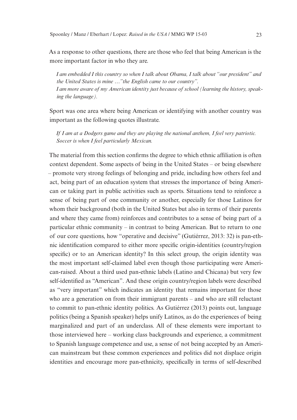As a response to other questions, there are those who feel that being American is the more important factor in who they are.

*I am embedded I this country so when I talk about Obama, I talk about "our president" and the United States is mine …"the English came to our country". I am more aware of my American identity just because of school (learning the history, speaking the language).*

Sport was one area where being American or identifying with another country was important as the following quotes illustrate.

*If I am at a Dodgers game and they are playing the national anthem, I feel very patriotic. Soccer is when I feel particularly Mexican.* 

The material from this section confirms the degree to which ethnic affiliation is often context dependent. Some aspects of being in the United States – or being elsewhere – promote very strong feelings of belonging and pride, including how others feel and act, being part of an education system that stresses the importance of being American or taking part in public activities such as sports. Situations tend to reinforce a sense of being part of one community or another, especially for those Latinos for whom their background (both in the United States but also in terms of their parents and where they came from) reinforces and contributes to a sense of being part of a particular ethnic community – in contrast to being American. But to return to one of our core questions, how "operative and decisive" (Gutiérrez, 2013: 32) is pan-ethnic identification compared to either more specific origin-identities (country/region specific) or to an American identity? In this select group, the origin identity was the most important self-claimed label even though those participating were American-raised. About a third used pan-ethnic labels (Latino and Chicana) but very few self-identified as "American". And these origin country/region labels were described as "very important" which indicates an identity that remains important for those who are a generation on from their immigrant parents – and who are still reluctant to commit to pan-ethnic identity politics. As Gutiérrez (2013) points out, language politics (being a Spanish speaker) helps unify Latinos, as do the experiences of being marginalized and part of an underclass. All of these elements were important to those interviewed here – working class backgrounds and experience, a commitment to Spanish language competence and use, a sense of not being accepted by an American mainstream but these common experiences and politics did not displace origin identities and encourage more pan-ethnicity, specifically in terms of self-described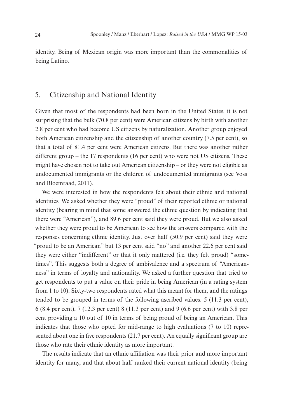identity. Being of Mexican origin was more important than the commonalities of being Latino.

## 5. Citizenship and National Identity

Given that most of the respondents had been born in the United States, it is not surprising that the bulk (70.8 per cent) were American citizens by birth with another 2.8 per cent who had become US citizens by naturalization. Another group enjoyed both American citizenship and the citizenship of another country (7.5 per cent), so that a total of 81.4 per cent were American citizens. But there was another rather different group – the 17 respondents (16 per cent) who were not US citizens. These might have chosen not to take out American citizenship – or they were not eligible as undocumented immigrants or the children of undocumented immigrants (see Voss and Bloemraad, 2011).

We were interested in how the respondents felt about their ethnic and national identities. We asked whether they were "proud" of their reported ethnic or national identity (bearing in mind that some answered the ethnic question by indicating that there were "American"), and 89.6 per cent said they were proud. But we also asked whether they were proud to be American to see how the answers compared with the responses concerning ethnic identity. Just over half (50.9 per cent) said they were "proud to be an American" but 13 per cent said "no" and another 22.6 per cent said they were either "indifferent" or that it only mattered (i.e. they felt proud) "sometimes". This suggests both a degree of ambivalence and a spectrum of "Americanness" in terms of loyalty and nationality. We asked a further question that tried to get respondents to put a value on their pride in being American (in a rating system from 1 to 10). Sixty-two respondents rated what this meant for them, and the ratings tended to be grouped in terms of the following ascribed values: 5 (11.3 per cent), 6 (8.4 per cent), 7 (12.3 per cent) 8 (11.3 per cent) and 9 (6.6 per cent) with 3.8 per cent providing a 10 out of 10 in terms of being proud of being an American. This indicates that those who opted for mid-range to high evaluations (7 to 10) represented about one in five respondents (21.7 per cent). An equally significant group are those who rate their ethnic identity as more important.

The results indicate that an ethnic affiliation was their prior and more important identity for many, and that about half ranked their current national identity (being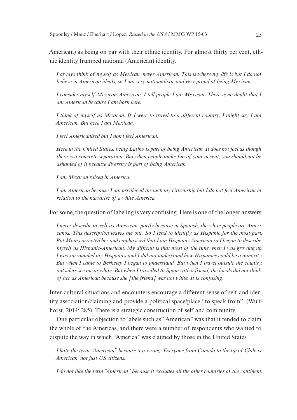American) as being on par with their ethnic identity. For almost thirty per cent, ethnic identity trumped national (American) identity.

*I always think of myself as Mexican, never American. This is where my life is but I do not believe in American ideals, so I am very nationalistic and very proud of being Mexican.*

*I consider myself Mexican-American. I tell people I am Mexican. There is no doubt that I am American because I am born here.*

*I think of myself as Mexican. If I were to travel to a different country, I might say I am American. But here I am Mexican.*

*I feel Americanised but I don't feel American.*

*Here in the United States, being Latino is part of being American. It does not feel as though there is a concrete separation. But when people make fun of your accent, you should not be ashamed of it because diversity is part of being American.*

*I am Mexican raised in America.*

*I am American because I am privileged through my citizenship but I do not feel American in relation to the narrative of a white America.*

For some, the question of labeling is very confusing. Here is one of the longer answers.

*I never describe myself as American, partly because in Spanish, the white people are Americanos. This description leaves me out. So I tend to identify as Hispanic for the most part. But Mom corrected her and emphasized that I am Hispanic-American so I began to describe myself as Hispanic-American. My difficult is that most of the time when I was growing up, I was surrounded my Hispanics and I did not understand how Hispanics could be a minority. But when I came to Berkeley I began to understand. But when I travel outside the country, outsiders see me as white. But when I travelled to Spain with a friend, the locals did not think of her as American because she [the friend] was not white. It is confusing.*

Inter-cultural situations and encounters encourage a different sense of self and identity association/claiming and provide a political space/place "to speak from", (Wulfhorst, 2014: 285). There is a strategic construction of self and community.

One particular objection to labels such as" American" was that it tended to claim the whole of the Americas, and there were a number of respondents who wanted to dispute the way in which "America" was claimed by those in the United States.

*I hate the term "American" because it is wrong. Everyone from Canada to the tip of Chile is American, not just US citizens.* 

*I do not like the term "American" because it excludes all the other countries of the continent.*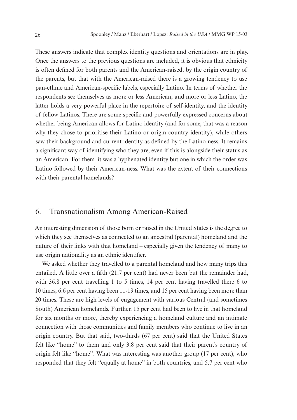These answers indicate that complex identity questions and orientations are in play. Once the answers to the previous questions are included, it is obvious that ethnicity is often defined for both parents and the American-raised, by the origin country of the parents, but that with the American-raised there is a growing tendency to use pan-ethnic and American-specific labels, especially Latino. In terms of whether the respondents see themselves as more or less American, and more or less Latino, the latter holds a very powerful place in the repertoire of self-identity, and the identity of fellow Latinos. There are some specific and powerfully expressed concerns about whether being American allows for Latino identity (and for some, that was a reason why they chose to prioritise their Latino or origin country identity), while others saw their background and current identity as defined by the Latino-ness. It remains a significant way of identifying who they are, even if this is alongside their status as an American. For them, it was a hyphenated identity but one in which the order was Latino followed by their American-ness. What was the extent of their connections with their parental homelands?

## 6. Transnationalism Among American-Raised

An interesting dimension of those born or raised in the United States is the degree to which they see themselves as connected to an ancestral (parental) homeland and the nature of their links with that homeland – especially given the tendency of many to use origin nationality as an ethnic identifier.

We asked whether they travelled to a parental homeland and how many trips this entailed. A little over a fifth (21.7 per cent) had never been but the remainder had, with 36.8 per cent travelling 1 to 5 times, 14 per cent having travelled there 6 to 10 times, 6.6 per cent having been 11-19 times, and 15 per cent having been more than 20 times. These are high levels of engagement with various Central (and sometimes South) American homelands. Further, 15 per cent had been to live in that homeland for six months or more, thereby experiencing a homeland culture and an intimate connection with those communities and family members who continue to live in an origin country. But that said, two-thirds (67 per cent) said that the United States felt like "home" to them and only 3.8 per cent said that their parent's country of origin felt like "home". What was interesting was another group (17 per cent), who responded that they felt "equally at home" in both countries, and 5.7 per cent who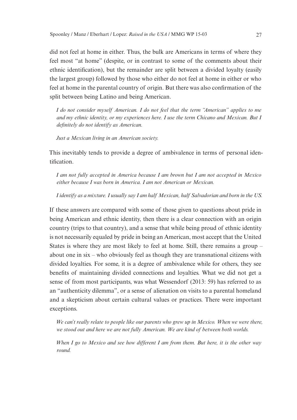did not feel at home in either. Thus, the bulk are Americans in terms of where they feel most "at home" (despite, or in contrast to some of the comments about their ethnic identification), but the remainder are split between a divided loyalty (easily the largest group) followed by those who either do not feel at home in either or who feel at home in the parental country of origin. But there was also confirmation of the split between being Latino and being American.

*I do not consider myself American. I do not feel that the term "American" applies to me and my ethnic identity, or my experiences here. I use the term Chicano and Mexican. But I definitely do not identify as American.*

*Just a Mexican living in an American society.*

This inevitably tends to provide a degree of ambivalence in terms of personal identification.

*I am not fully accepted in America because I am brown but I am not accepted in Mexico either because I was born in America. I am not American or Mexican.*

*I identify as a mixture. I usually say I am half Mexican, half Salvadorian and born in the US.*

If these answers are compared with some of those given to questions about pride in being American and ethnic identity, then there is a clear connection with an origin country (trips to that country), and a sense that while being proud of ethnic identity is not necessarily equaled by pride in being an American, most accept that the United States is where they are most likely to feel at home. Still, there remains a group – about one in six – who obviously feel as though they are transnational citizens with divided loyalties. For some, it is a degree of ambivalence while for others, they see benefits of maintaining divided connections and loyalties. What we did not get a sense of from most participants, was what Wessendorf (2013: 59) has referred to as an "authenticity dilemma", or a sense of alienation on visits to a parental homeland and a skepticism about certain cultural values or practices. There were important exceptions.

*We can't really relate to people like our parents who grew up in Mexico. When we were there, we stood out and here we are not fully American. We are kind of between both worlds.*

*When I go to Mexico and see how different I am from them. But here, it is the other way round.*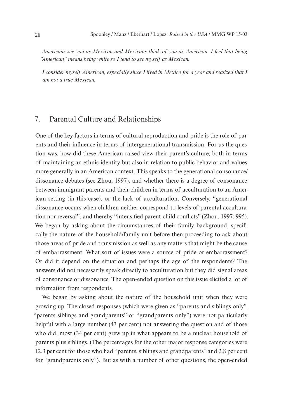*Americans see you as Mexican and Mexicans think of you as American. I feel that being "American" means being white so I tend to see myself as Mexican.*

*I consider myself American, especially since I lived in Mexico for a year and realized that I am not a true Mexican.*

## 7. Parental Culture and Relationships

One of the key factors in terms of cultural reproduction and pride is the role of parents and their influence in terms of intergenerational transmission. For us the question was. how did these American-raised view their parent's culture, both in terms of maintaining an ethnic identity but also in relation to public behavior and values more generally in an American context. This speaks to the generational consonance/ dissonance debates (see Zhou, 1997), and whether there is a degree of consonance between immigrant parents and their children in terms of acculturation to an American setting (in this case), or the lack of acculturation. Conversely, "generational dissonance occurs when children neither correspond to levels of parental acculturation nor reversal", and thereby "intensified parent-child conflicts" (Zhou, 1997: 995). We began by asking about the circumstances of their family background, specifically the nature of the household/family unit before then proceeding to ask about those areas of pride and transmission as well as any matters that might be the cause of embarrassment. What sort of issues were a source of pride or embarrassment? Or did it depend on the situation and perhaps the age of the respondents? The answers did not necessarily speak directly to acculturation but they did signal areas of consonance or dissonance. The open-ended question on this issue elicited a lot of information from respondents.

We began by asking about the nature of the household unit when they were growing up. The closed responses (which were given as "parents and siblings only", "parents siblings and grandparents" or "grandparents only") were not particularly helpful with a large number (43 per cent) not answering the question and of those who did, most (34 per cent) grew up in what appears to be a nuclear household of parents plus siblings. (The percentages for the other major response categories were 12.3 per cent for those who had "parents, siblings and grandparents" and 2.8 per cent for "grandparents only"). But as with a number of other questions, the open-ended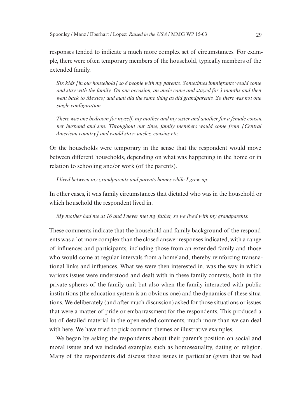responses tended to indicate a much more complex set of circumstances. For example, there were often temporary members of the household, typically members of the extended family.

*Six kids [in our household] so 8 people with my parents. Sometimes immigrants would come and stay with the family. On one occasion, an uncle came and stayed for 3 months and then went back to Mexico; and aunt did the same thing as did grandparents. So there was not one single configuration.*

*There was one bedroom for myself, my mother and my sister and another for a female cousin, her husband and son. Throughout our time, family members would come from [Central American country] and would stay- uncles, cousins etc.* 

Or the households were temporary in the sense that the respondent would move between different households, depending on what was happening in the home or in relation to schooling and/or work (of the parents).

*I lived between my grandparents and parents homes while I grew up.*

In other cases, it was family circumstances that dictated who was in the household or which household the respondent lived in.

*My mother had me at 16 and I never met my father, so we lived with my grandparents.*

These comments indicate that the household and family background of the respondents was a lot more complex than the closed answer responses indicated, with a range of influences and participants, including those from an extended family and those who would come at regular intervals from a homeland, thereby reinforcing transnational links and influences. What we were then interested in, was the way in which various issues were understood and dealt with in these family contexts, both in the private spheres of the family unit but also when the family interacted with public institutions (the education system is an obvious one) and the dynamics of these situations. We deliberately (and after much discussion) asked for those situations or issues that were a matter of pride or embarrassment for the respondents. This produced a lot of detailed material in the open ended comments, much more than we can deal with here. We have tried to pick common themes or illustrative examples.

We began by asking the respondents about their parent's position on social and moral issues and we included examples such as homosexuality, dating or religion. Many of the respondents did discuss these issues in particular (given that we had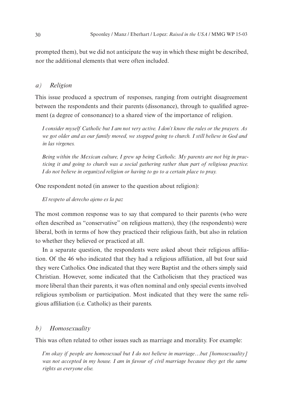prompted them), but we did not anticipate the way in which these might be described, nor the additional elements that were often included.

#### *a) Religion*

This issue produced a spectrum of responses, ranging from outright disagreement between the respondents and their parents (dissonance), through to qualified agreement (a degree of consonance) to a shared view of the importance of religion.

*I consider myself Catholic but I am not very active. I don't know the rules or the prayers. As we got older and as our family moved, we stopped going to church. I still believe in God and in las virgenes.*

*Being within the Mexican culture, I grew up being Catholic. My parents are not big in practicing it and going to church was a social gathering rather than part of religious practice. I do not believe in organized religion or having to go to a certain place to pray.*

One respondent noted (in answer to the question about religion):

*El respeto al derecho ajeno es la paz*

The most common response was to say that compared to their parents (who were often described as "conservative" on religious matters), they (the respondents) were liberal, both in terms of how they practiced their religious faith, but also in relation to whether they believed or practiced at all.

In a separate question, the respondents were asked about their religious affiliation. Of the 46 who indicated that they had a religious affiliation, all but four said they were Catholics. One indicated that they were Baptist and the others simply said Christian. However, some indicated that the Catholicism that they practiced was more liberal than their parents, it was often nominal and only special events involved religious symbolism or participation. Most indicated that they were the same religious affiliation (i.e. Catholic) as their parents.

#### *b) Homosexuality*

This was often related to other issues such as marriage and morality. For example:

*I'm okay if people are homosexual but I do not believe in marriage…but [homosexuality]*  was not accepted in my house. I am in favour of civil marriage because they get the same *rights as everyone else.*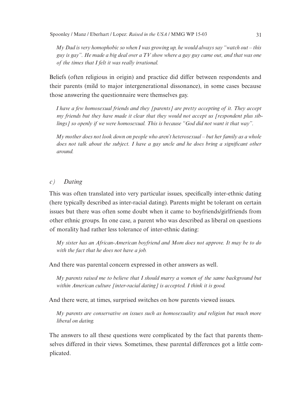*My Dad is very homophobic so when I was growing up, he would always say "watch out – this guy is gay". He made a big deal over a TV show where a gay guy came out, and that was one of the times that I felt it was really irrational.*

Beliefs (often religious in origin) and practice did differ between respondents and their parents (mild to major intergenerational dissonance), in some cases because those answering the questionnaire were themselves gay.

*I have a few homosexual friends and they [parents] are pretty accepting of it. They accept my friends but they have made it clear that they would not accept us [respondent plus siblings] so openly if we were homosexual. This is because "God did not want it that way".*

*My mother does not look down on people who aren't heterosexual – but her family as a whole does not talk about the subject. I have a gay uncle and he does bring a significant other around.* 

#### *c) Dating*

This was often translated into very particular issues, specifically inter-ethnic dating (here typically described as inter-racial dating). Parents might be tolerant on certain issues but there was often some doubt when it came to boyfriends/girlfriends from other ethnic groups. In one case, a parent who was described as liberal on questions of morality had rather less tolerance of inter-ethnic dating:

*My sister has an African-American boyfriend and Mom does not approve. It may be to do with the fact that he does not have a job.*

And there was parental concern expressed in other answers as well.

*My parents raised me to believe that I should marry a women of the same background but within American culture [inter-racial dating] is accepted. I think it is good.*

And there were, at times, surprised switches on how parents viewed issues.

*My parents are conservative on issues such as homosexuality and religion but much more liberal on dating.*

The answers to all these questions were complicated by the fact that parents themselves differed in their views. Sometimes, these parental differences got a little complicated.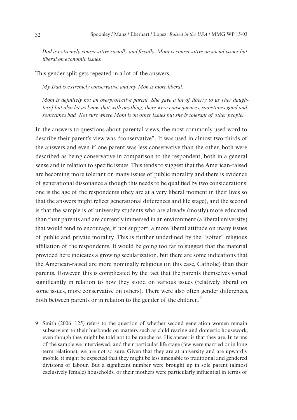*Dad is extremely conservative socially and fiscally. Mom is conservative on social issues but liberal on economic issues.*

This gender split gets repeated in a lot of the answers.

*My Dad is extremely conservative and my Mon is more liberal.*

*Mom is definitely not an overprotective parent. She gave a lot of liberty to us [her daughters] but also let us know that with anything, there were consequences, sometimes good and sometimes bad. Not sure where Mom is on other issues but she is tolerant of other people.*

In the answers to questions about parental views, the most commonly used word to describe their parent's view was "conservative". It was used in almost two-thirds of the answers and even if one parent was less conservative than the other, both were described as being conservative in comparison to the respondent, both in a general sense and in relation to specific issues. This tends to suggest that the American-raised are becoming more tolerant on many issues of public morality and there is evidence of generational dissonance although this needs to be qualified by two considerations: one is the age of the respondents (they are at a very liberal moment in their lives so that the answers might reflect generational differences and life stage), and the second is that the sample is of university students who are already (mostly) more educated than their parents and are currently immersed in an environment (a liberal university) that would tend to encourage, if not support, a more liberal attitude on many issues of public and private morality. This is further underlined by the "softer" religious affiliation of the respondents. It would be going too far to suggest that the material provided here indicates a growing secularization, but there are some indications that the American-raised are more nominally religious (in this case, Catholic) than their parents. However, this is complicated by the fact that the parents themselves varied significantly in relation to how they stood on various issues (relatively liberal on some issues, more conservative on others). There were also often gender differences, both between parents or in relation to the gender of the children.<sup>9</sup>

<sup>9</sup> Smith (2006: 125) refers to the question of whether second generation women remain subservient to their husbands on matters such as child rearing and domestic housework, even though they might be told not to be rancheros. His answer is that they are. In terms of the sample we interviewed, and their particular life stage (few were married or in long term relations), we are not so sure. Given that they are at university and are upwardly mobile, it might be expected that they might be less amenable to traditional and gendered divisions of labour. But a significant number were brought up in sole parent (almost exclusively female) households, or their mothers were particularly influential in terms of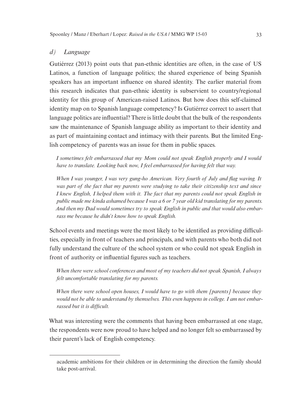#### *d) Language*

Gutiérrez (2013) point outs that pan-ethnic identities are often, in the case of US Latinos, a function of language politics; the shared experience of being Spanish speakers has an important influence on shared identity. The earlier material from this research indicates that pan-ethnic identity is subservient to country/regional identity for this group of American-raised Latinos. But how does this self-claimed identity map on to Spanish language competency? Is Gutiérrez correct to assert that language politics are influential? There is little doubt that the bulk of the respondents saw the maintenance of Spanish language ability as important to their identity and as part of maintaining contact and intimacy with their parents. But the limited English competency of parents was an issue for them in public spaces.

*I sometimes felt embarrassed that my Mom could not speak English properly and I would have to translate. Looking back now, I feel embarrassed for having felt that way.* 

*When I was younger, I was very gung-ho American. Very fourth of July and flag waving. It was part of the fact that my parents were studying to take their citizenship text and since I knew English, I helped them with it. The fact that my parents could not speak English in public made me kinda ashamed because I was a 6 or 7 year old kid translating for my parents. And then my Dad would sometimes try to speak English in public and that would also embarrass me because he didn't know how to speak English.*

School events and meetings were the most likely to be identified as providing difficulties, especially in front of teachers and principals, and with parents who both did not fully understand the culture of the school system or who could not speak English in front of authority or influential figures such as teachers.

*When there were school conferences and most of my teachers did not speak Spanish, I always felt uncomfortable translating for my parents.*

*When there were school open houses, I would have to go with them [parents] because they would not be able to understand by themselves. This even happens in college. I am not embarrassed but it is difficult.*

What was interesting were the comments that having been embarrassed at one stage, the respondents were now proud to have helped and no longer felt so embarrassed by their parent's lack of English competency.

academic ambitions for their children or in determining the direction the family should take post-arrival.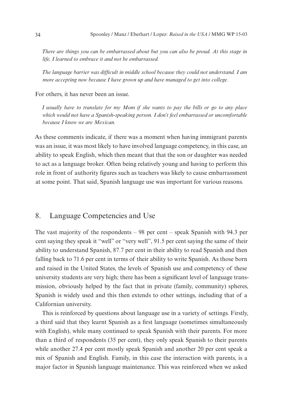*There are things you can be embarrassed about but you can also be proud. At this stage in life, I learned to embrace it and not be embarrassed.*

*The language barrier was difficult in middle school because they could not understand. I am more accepting now because I have grown up and have managed to get into college.*

#### For others, it has never been an issue.

*I usually have to translate for my Mom if she wants to pay the bills or go to any place which would not have a Spanish-speaking person. I don't feel embarrassed or uncomfortable because I know we are Mexican.*

As these comments indicate, if there was a moment when having immigrant parents was an issue, it was most likely to have involved language competency, in this case, an ability to speak English, which then meant that that the son or daughter was needed to act as a language broker. Often being relatively young and having to perform this role in front of authority figures such as teachers was likely to cause embarrassment at some point. That said, Spanish language use was important for various reasons.

## 8. Language Competencies and Use

The vast majority of the respondents – 98 per cent – speak Spanish with 94.3 per cent saying they speak it "well" or "very well", 91.5 per cent saying the same of their ability to understand Spanish, 87.7 per cent in their ability to read Spanish and then falling back to 71.6 per cent in terms of their ability to write Spanish. As those born and raised in the United States, the levels of Spanish use and competency of these university students are very high; there has been a significant level of language transmission, obviously helped by the fact that in private (family, community) spheres, Spanish is widely used and this then extends to other settings, including that of a Californian university.

This is reinforced by questions about language use in a variety of settings. Firstly, a third said that they learnt Spanish as a first language (sometimes simultaneously with English), while many continued to speak Spanish with their parents. For more than a third of respondents (35 per cent), they only speak Spanish to their parents while another 27.4 per cent mostly speak Spanish and another 20 per cent speak a mix of Spanish and English. Family, in this case the interaction with parents, is a major factor in Spanish language maintenance. This was reinforced when we asked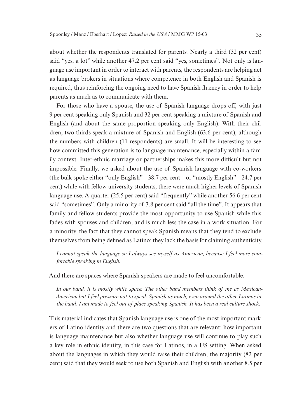about whether the respondents translated for parents. Nearly a third (32 per cent) said "yes, a lot" while another 47.2 per cent said "yes, sometimes". Not only is language use important in order to interact with parents, the respondents are helping act as language brokers in situations where competence in both English and Spanish is required, thus reinforcing the ongoing need to have Spanish fluency in order to help parents as much as to communicate with them.

For those who have a spouse, the use of Spanish language drops off, with just 9 per cent speaking only Spanish and 32 per cent speaking a mixture of Spanish and English (and about the same proportion speaking only English). With their children, two-thirds speak a mixture of Spanish and English (63.6 per cent), although the numbers with children (11 respondents) are small. It will be interesting to see how committed this generation is to language maintenance, especially within a family context. Inter-ethnic marriage or partnerships makes this more difficult but not impossible. Finally, we asked about the use of Spanish language with co-workers (the bulk spoke either "only English" – 38.7 per cent – or "mostly English" – 24.7 per cent) while with fellow university students, there were much higher levels of Spanish language use. A quarter (25.5 per cent) said "frequently" while another 56.6 per cent said "sometimes". Only a minority of 3.8 per cent said "all the time". It appears that family and fellow students provide the most opportunity to use Spanish while this fades with spouses and children, and is much less the case in a work situation. For a minority, the fact that they cannot speak Spanish means that they tend to exclude themselves from being defined as Latino; they lack the basis for claiming authenticity.

*I cannot speak the language so I always see myself as American, because I feel more comfortable speaking in English.*

And there are spaces where Spanish speakers are made to feel uncomfortable.

*In our band, it is mostly white space. The other band members think of me as Mexican-American but I feel pressure not to speak Spanish as much, even around the other Latinos in the band. I am made to feel out of place speaking Spanish. It has been a real culture shock.*

This material indicates that Spanish language use is one of the most important markers of Latino identity and there are two questions that are relevant: how important is language maintenance but also whether language use will continue to play such a key role in ethnic identity, in this case for Latinos, in a US setting. When asked about the languages in which they would raise their children, the majority (82 per cent) said that they would seek to use both Spanish and English with another 8.5 per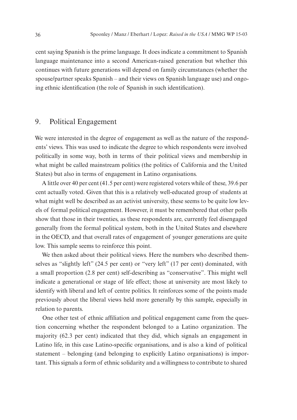cent saying Spanish is the prime language. It does indicate a commitment to Spanish language maintenance into a second American-raised generation but whether this continues with future generations will depend on family circumstances (whether the spouse/partner speaks Spanish – and their views on Spanish language use) and ongoing ethnic identification (the role of Spanish in such identification).

## 9. Political Engagement

We were interested in the degree of engagement as well as the nature of the respondents' views. This was used to indicate the degree to which respondents were involved politically in some way, both in terms of their political views and membership in what might be called mainstream politics (the politics of California and the United States) but also in terms of engagement in Latino organisations.

A little over 40 per cent (41.5 per cent) were registered voters while of these, 39.6 per cent actually voted. Given that this is a relatively well-educated group of students at what might well be described as an activist university, these seems to be quite low levels of formal political engagement. However, it must be remembered that other polls show that those in their twenties, as these respondents are, currently feel disengaged generally from the formal political system, both in the United States and elsewhere in the OECD, and that overall rates of engagement of younger generations are quite low. This sample seems to reinforce this point.

We then asked about their political views. Here the numbers who described themselves as "slightly left" (24.5 per cent) or "very left" (17 per cent) dominated, with a small proportion (2.8 per cent) self-describing as "conservative". This might well indicate a generational or stage of life effect; those at university are most likely to identify with liberal and left of centre politics. It reinforces some of the points made previously about the liberal views held more generally by this sample, especially in relation to parents.

One other test of ethnic affiliation and political engagement came from the question concerning whether the respondent belonged to a Latino organization. The majority (62.3 per cent) indicated that they did, which signals an engagement in Latino life, in this case Latino-specific organisations, and is also a kind of political statement – belonging (and belonging to explicitly Latino organisations) is important. This signals a form of ethnic solidarity and a willingness to contribute to shared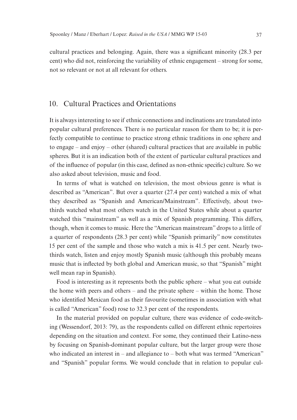cultural practices and belonging. Again, there was a significant minority (28.3 per cent) who did not, reinforcing the variability of ethnic engagement – strong for some, not so relevant or not at all relevant for others.

## 10. Cultural Practices and Orientations

It is always interesting to see if ethnic connections and inclinations are translated into popular cultural preferences. There is no particular reason for them to be; it is perfectly compatible to continue to practice strong ethnic traditions in one sphere and to engage – and enjoy – other (shared) cultural practices that are available in public spheres. But it is an indication both of the extent of particular cultural practices and of the influence of popular (in this case, defined as non-ethnic specific) culture. So we also asked about television, music and food.

In terms of what is watched on television, the most obvious genre is what is described as "American". But over a quarter (27.4 per cent) watched a mix of what they described as "Spanish and American/Mainstream". Effectively, about twothirds watched what most others watch in the United States while about a quarter watched this "mainstream" as well as a mix of Spanish programming. This differs, though, when it comes to music. Here the "American mainstream" drops to a little of a quarter of respondents (28.3 per cent) while "Spanish primarily" now constitutes 15 per cent of the sample and those who watch a mix is 41.5 per cent. Nearly twothirds watch, listen and enjoy mostly Spanish music (although this probably means music that is inflected by both global and American music, so that "Spanish" might well mean rap in Spanish).

Food is interesting as it represents both the public sphere – what you eat outside the home with peers and others – and the private sphere – within the home. Those who identified Mexican food as their favourite (sometimes in association with what is called "American" food) rose to 32.3 per cent of the respondents.

In the material provided on popular culture, there was evidence of code-switching (Wessendorf, 2013: 79), as the respondents called on different ethnic repertoires depending on the situation and context. For some, they continued their Latino-ness by focusing on Spanish-dominant popular culture, but the larger group were those who indicated an interest in – and allegiance to – both what was termed "American" and "Spanish" popular forms. We would conclude that in relation to popular cul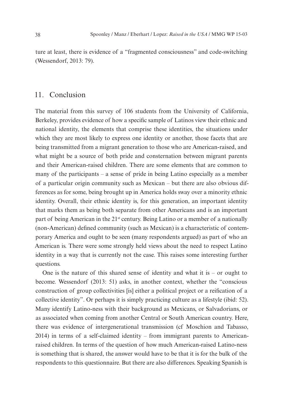ture at least, there is evidence of a "fragmented consciousness" and code-switching (Wessendorf, 2013: 79).

## 11. Conclusion

The material from this survey of 106 students from the University of California, Berkeley, provides evidence of how a specific sample of Latinos view their ethnic and national identity, the elements that comprise these identities, the situations under which they are most likely to express one identity or another, those facets that are being transmitted from a migrant generation to those who are American-raised, and what might be a source of both pride and consternation between migrant parents and their American-raised children. There are some elements that are common to many of the participants – a sense of pride in being Latino especially as a member of a particular origin community such as Mexican – but there are also obvious differences as for some, being brought up in America holds sway over a minority ethnic identity. Overall, their ethnic identity is, for this generation, an important identity that marks them as being both separate from other Americans and is an important part of being American in the 21<sup>st</sup> century. Being Latino or a member of a nationally (non-American) defined community (such as Mexican) is a characteristic of contemporary America and ought to be seen (many respondents argued) as part of who an American is. There were some strongly held views about the need to respect Latino identity in a way that is currently not the case. This raises some interesting further questions.

One is the nature of this shared sense of identity and what it is – or ought to become. Wessendorf (2013: 51) asks, in another context, whether the "conscious construction of group collectivities [is] either a political project or a reification of a collective identity". Or perhaps it is simply practicing culture as a lifestyle (ibid: 52). Many identify Latino-ness with their background as Mexicans, or Salvadorians, or as associated when coming from another Central or South American country. Here, there was evidence of intergenerational transmission (cf Moschion and Tabasso, 2014) in terms of a self-claimed identity – from immigrant parents to Americanraised children. In terms of the question of how much American-raised Latino-ness is something that is shared, the answer would have to be that it is for the bulk of the respondents to this questionnaire. But there are also differences. Speaking Spanish is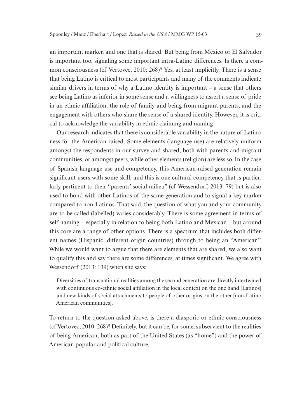an important marker, and one that is shared. But being from Mexico or El Salvador is important too, signaling some important intra-Latino differences. Is there a common consciousness (cf Vertovec, 2010: 268)? Yes, at least implicitly. There is a sense that being Latino is critical to most participants and many of the comments indicate similar drivers in terms of why a Latino identity is important – a sense that others see being Latino as inferior in some sense and a willingness to assert a sense of pride in an ethnic affiliation, the role of family and being from migrant parents, and the engagement with others who share the sense of a shared identity. However, it is critical to acknowledge the variability in ethnic claiming and naming.

Our research indicates that there is considerable variability in the nature of Latinoness for the American-raised. Some elements (language use) are relatively uniform amongst the respondents in our survey and shared, both with parents and migrant communities, or amongst peers, while other elements (religion) are less so. In the case of Spanish language use and competency, this American-raised generation remain significant users with some skill, and this is one cultural competency that is particularly pertinent to their "parents' social milieu" (cf Wessendorf, 2013: 79) but is also used to bond with other Latinos of the same generation and to signal a key marker compared to non-Latinos. That said, the question of what you and your community are to be called (labelled) varies considerably. There is some agreement in terms of self-naming – especially in relation to being both Latino and Mexican – but around this core are a range of other options. There is a spectrum that includes both different names (Hispanic, different origin countries) through to being an "American". While we would want to argue that there are elements that are shared, we also want to qualify this and say there are some differences, at times significant. We agree with Wessendorf (2013: 139) when she says:

Diversities of transnational realities among the second generation are directly intertwined with continuous co-ethnic social affiliation in the local context on the one hand [Latinos] and new kinds of social attachments to people of other origins on the other [non-Latino American communities].

To return to the question asked above, is there a diasporic or ethnic consciousness (cf Vertovec, 2010: 268)? Definitely, but it can be, for some, subservient to the realities of being American, both as part of the United States (as "home") and the power of American popular and political culture.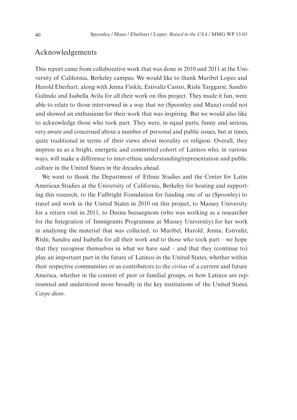## Acknowledgements

This report came from collaborative work that was done in 2010 and 2011 at the University of California, Berkeley campus. We would like to thank Maribel Lopez and Harold Eberhart, along with Jenna Finkle, Estivaliz Castro, Rishi Targgarsi, Sandro Galindo and Isabella Avila for all their work on this project. They made it fun, were able to relate to those interviewed in a way that we (Spoonley and Manz) could not and showed an enthusiasm for their work that was inspiring. But we would also like to acknowledge those who took part. They were, in equal parts, funny and serious, very aware and concerned about a number of personal and public issues, but at times, quite traditional in terms of their views about morality or religion. Overall, they impress us as a bright, energetic and committed cohort of Latinos who, in various ways, will make a difference to inter-ethnic understanding/representation and public culture in the United States in the decades ahead.

We want to thank the Department of Ethnic Studies and the Center for Latin American Studies at the University of California, Berkeley for hosting and supporting this research, to the Fulbright Foundation for funding one of us (Spoonley) to travel and work in the United States in 2010 on this project, to Massey University for a return visit in 2011, to Deena Seesaegnom (who was working as a researcher for the Integration of Immigrants Programme at Massey University) for her work in analysing the material that was collected, to Maribel, Harold, Jenna, Estivaliz, Rishi, Sandra and Isabella for all their work and to those who took part – we hope that they recognise themselves in what we have said – and that they (continue to) play an important part in the future of Latinos in the United States, whether within their respective communities or as contributors to the *civitas* of a current and future America, whether in the context of peer or familial groups, or how Latinos are represented and understood more broadly in the key institutions of the United States. *Carpe diem*.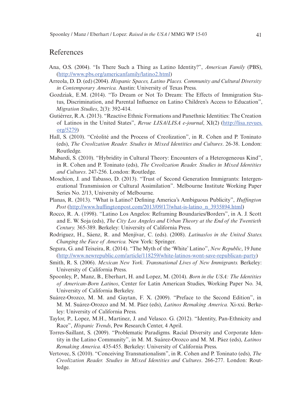## References

- Ana, O.S. (2004). "Is There Such a Thing as Latino Identity?", *American Family* (PBS), [\(http://www.pbs.org/americanfamily/latino2.html](http://www.pbs.org/americanfamily/latino2.html))
- Arreola, D. D. (ed) (2004). *Hispanic Spaces, Latino Places. Community and Cultural Diversity in Contemporary America.* Austin: University of Texas Press.
- Gozdziak, E.M. (2014). "To Dream or Not To Dream: The Effects of Immigration Status, Discrimination, and Parental Influence on Latino Children's Access to Education", *Migration Studies*, 2(3): 392-414.
- Gutiérrez, R.A. (2013). "Reactive Ethnic Formations and Panethnic Identities: The Creation of Latinos in the United States", *Revue LISA/LISA e-journal*, XI(2) [\(http://lisa.revues.](http://lisa.revues.org/5279) [org/5279](http://lisa.revues.org/5279))
- Hall, S. (2010). "Créolité and the Process of Creolization", in R. Cohen and P. Toninato (eds), *The Creolization Reader. Studies in Mixed Identities and Cultures*. 26-38. London: Routledge.
- Mabardi, S. (2010). "Hybridity in Cultural Theory: Encounters of a Heterogeneous Kind", in R. Cohen and P. Toninato (eds), *The Creolization Reader. Studies in Mixed Identities and Cultures*. 247-256. London: Routledge.
- Moschion, J. and Tabasso, D. (2013). "Trust of Second Generation Immigrants: Intergenerational Transmission or Cultural Assimilation". Melbourne Institute Working Paper Series No. 2/13, University of Melbourne.
- Planas, R. (2013). "What is Latino? Defining America's Ambiguous Publicity", *Huffington Post* ([http://www.huffingtonpost.com/2013/09/17/what-is-latino\\_n\\_3935894.html\)](http://www.huffingtonpost.com/2013/09/17/what-is-latino_n_3935894.html)
- Rocco, R. A. (1998). "Latino Los Angelos: Reframing Boundaries/Borders", in A. J. Scott and E. W. Soja (eds), *The City Los Angeles and Urban Theory at the End of the Twentieth Century.* 365-389. Berkeley: University of California Press.
- Rodriguez, H., Sáenz, R. and Menjívar, C. (eds). (2008). *Latinas/os in the United States. Changing the Face of America.* New York: Springer.
- Segura, G. and Teixeira, R. (2014). "The Myth of the 'White' Latino", *New Republic*, 19 June [\(http://www.newrepublic.com/article/118259/white-latinos-wont-save-republican-party](http://www.newrepublic.com/article/118259/white-latinos-wont-save-republican-party))
- Smith, R. S. (2006). *Mexican New York. Transnational Lives of New Immigrants.* Berkeley: University of California Press.
- Spoonley, P., Manz, B., Eberhart, H. and Lopez, M. (2014). *Born in the USA: The Identities of American-Born Latinos*, Center for Latin American Studies, Working Paper No. 34, University of California Berkeley.
- Suárez-Orozco, M. M. and Gaytan, F. X. (2009). "Preface to the Second Edition", in M. M. Suárez-Orozco and M. M. Páez (eds), *Latinos Remaking America.* Xi-xxi. Berkeley: University of California Press.
- Taylor, P., Lopez, M.H., Martinez, J. and Velasco. G. (2012). "Identity, Pan-Ethnicity and Race", *Hispanic Trends*, Pew Research Center, 4 April.
- Torres-Saillant, S. (2009). "Problematic Paradigms. Racial Diversity and Corporate Identity in the Latino Community", in M. M. Suárez-Orozco and M. M. Páez (eds), *Latinos Remaking America.* 435-455. Berkeley: University of California Press.
- Vertovec, S. (2010). "Conceiving Transnationalism", in R. Cohen and P. Toninato (eds), *The Creolization Reader. Studies in Mixed Identities and Cultures*. 266-277. London: Routledge.